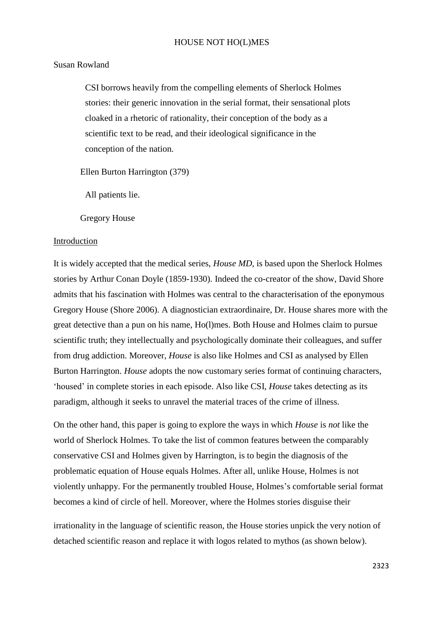#### HOUSE NOT HO(L)MES

#### Susan Rowland

CSI borrows heavily from the compelling elements of Sherlock Holmes stories: their generic innovation in the serial format, their sensational plots cloaked in a rhetoric of rationality, their conception of the body as a scientific text to be read, and their ideological significance in the conception of the nation.

Ellen Burton Harrington (379)

All patients lie.

Gregory House

#### Introduction

It is widely accepted that the medical series, *House MD*, is based upon the Sherlock Holmes stories by Arthur Conan Doyle (1859-1930). Indeed the co-creator of the show, David Shore admits that his fascination with Holmes was central to the characterisation of the eponymous Gregory House (Shore 2006). A diagnostician extraordinaire, Dr. House shares more with the great detective than a pun on his name, Ho(l)mes. Both House and Holmes claim to pursue scientific truth; they intellectually and psychologically dominate their colleagues, and suffer from drug addiction. Moreover, *House* is also like Holmes and CSI as analysed by Ellen Burton Harrington. *House* adopts the now customary series format of continuing characters, 'housed' in complete stories in each episode. Also like CSI, *House* takes detecting as its paradigm, although it seeks to unravel the material traces of the crime of illness.

On the other hand, this paper is going to explore the ways in which *House* is *not* like the world of Sherlock Holmes. To take the list of common features between the comparably conservative CSI and Holmes given by Harrington, is to begin the diagnosis of the problematic equation of House equals Holmes. After all, unlike House, Holmes is not violently unhappy. For the permanently troubled House, Holmes's comfortable serial format becomes a kind of circle of hell. Moreover, where the Holmes stories disguise their

irrationality in the language of scientific reason, the House stories unpick the very notion of detached scientific reason and replace it with logos related to mythos (as shown below).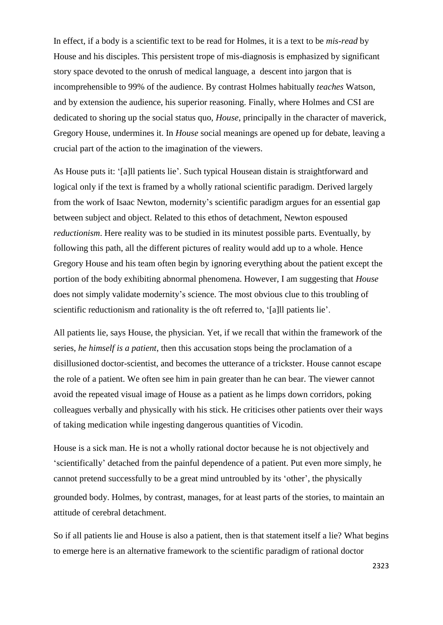In effect, if a body is a scientific text to be read for Holmes, it is a text to be *mis-read* by House and his disciples. This persistent trope of mis-diagnosis is emphasized by significant story space devoted to the onrush of medical language, a descent into jargon that is incomprehensible to 99% of the audience. By contrast Holmes habitually *teaches* Watson, and by extension the audience, his superior reasoning. Finally, where Holmes and CSI are dedicated to shoring up the social status quo, *House*, principally in the character of maverick, Gregory House, undermines it. In *House* social meanings are opened up for debate, leaving a crucial part of the action to the imagination of the viewers.

As House puts it: '[a]ll patients lie'. Such typical Housean distain is straightforward and logical only if the text is framed by a wholly rational scientific paradigm. Derived largely from the work of Isaac Newton, modernity's scientific paradigm argues for an essential gap between subject and object. Related to this ethos of detachment, Newton espoused *reductionism*. Here reality was to be studied in its minutest possible parts. Eventually, by following this path, all the different pictures of reality would add up to a whole. Hence Gregory House and his team often begin by ignoring everything about the patient except the portion of the body exhibiting abnormal phenomena. However, I am suggesting that *House*  does not simply validate modernity's science. The most obvious clue to this troubling of scientific reductionism and rationality is the oft referred to, '[a]ll patients lie'.

All patients lie, says House, the physician. Yet, if we recall that within the framework of the series, *he himself is a patient*, then this accusation stops being the proclamation of a disillusioned doctor-scientist, and becomes the utterance of a trickster. House cannot escape the role of a patient. We often see him in pain greater than he can bear. The viewer cannot avoid the repeated visual image of House as a patient as he limps down corridors, poking colleagues verbally and physically with his stick. He criticises other patients over their ways of taking medication while ingesting dangerous quantities of Vicodin.

House is a sick man. He is not a wholly rational doctor because he is not objectively and 'scientifically' detached from the painful dependence of a patient. Put even more simply, he cannot pretend successfully to be a great mind untroubled by its 'other', the physically grounded body. Holmes, by contrast, manages, for at least parts of the stories, to maintain an attitude of cerebral detachment.

So if all patients lie and House is also a patient, then is that statement itself a lie? What begins to emerge here is an alternative framework to the scientific paradigm of rational doctor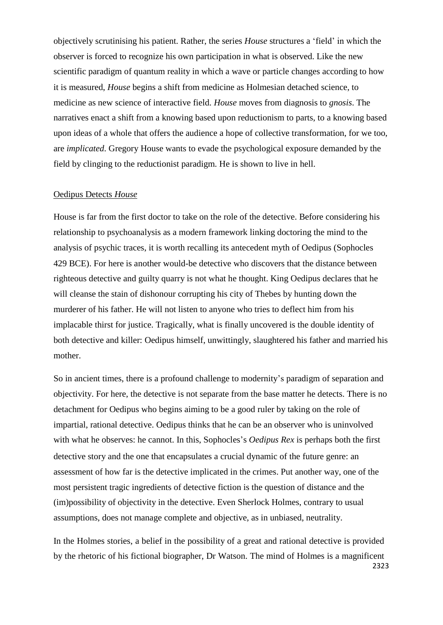objectively scrutinising his patient. Rather, the series *House* structures a 'field' in which the observer is forced to recognize his own participation in what is observed. Like the new scientific paradigm of quantum reality in which a wave or particle changes according to how it is measured, *House* begins a shift from medicine as Holmesian detached science, to medicine as new science of interactive field. *House* moves from diagnosis to *gnosis*. The narratives enact a shift from a knowing based upon reductionism to parts, to a knowing based upon ideas of a whole that offers the audience a hope of collective transformation, for we too, are *implicated*. Gregory House wants to evade the psychological exposure demanded by the field by clinging to the reductionist paradigm. He is shown to live in hell.

## Oedipus Detects *House*

House is far from the first doctor to take on the role of the detective. Before considering his relationship to psychoanalysis as a modern framework linking doctoring the mind to the analysis of psychic traces, it is worth recalling its antecedent myth of Oedipus (Sophocles 429 BCE). For here is another would-be detective who discovers that the distance between righteous detective and guilty quarry is not what he thought. King Oedipus declares that he will cleanse the stain of dishonour corrupting his city of Thebes by hunting down the murderer of his father. He will not listen to anyone who tries to deflect him from his implacable thirst for justice. Tragically, what is finally uncovered is the double identity of both detective and killer: Oedipus himself, unwittingly, slaughtered his father and married his mother.

So in ancient times, there is a profound challenge to modernity's paradigm of separation and objectivity. For here, the detective is not separate from the base matter he detects. There is no detachment for Oedipus who begins aiming to be a good ruler by taking on the role of impartial, rational detective. Oedipus thinks that he can be an observer who is uninvolved with what he observes: he cannot. In this, Sophocles's *Oedipus Rex* is perhaps both the first detective story and the one that encapsulates a crucial dynamic of the future genre: an assessment of how far is the detective implicated in the crimes. Put another way, one of the most persistent tragic ingredients of detective fiction is the question of distance and the (im)possibility of objectivity in the detective. Even Sherlock Holmes, contrary to usual assumptions, does not manage complete and objective, as in unbiased, neutrality.

In the Holmes stories, a belief in the possibility of a great and rational detective is provided by the rhetoric of his fictional biographer, Dr Watson. The mind of Holmes is a magnificent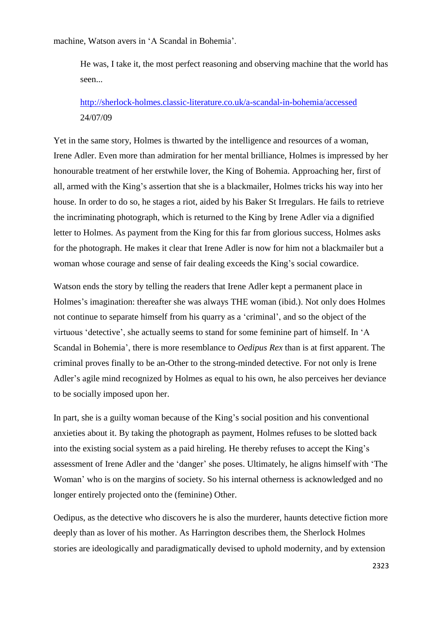machine, Watson avers in 'A Scandal in Bohemia'.

He was, I take it, the most perfect reasoning and observing machine that the world has seen...

# <http://sherlock-holmes.classic-literature.co.uk/a-scandal-in-bohemia/accessed> 24/07/09

Yet in the same story, Holmes is thwarted by the intelligence and resources of a woman, Irene Adler. Even more than admiration for her mental brilliance, Holmes is impressed by her honourable treatment of her erstwhile lover, the King of Bohemia. Approaching her, first of all, armed with the King's assertion that she is a blackmailer, Holmes tricks his way into her house. In order to do so, he stages a riot, aided by his Baker St Irregulars. He fails to retrieve the incriminating photograph, which is returned to the King by Irene Adler via a dignified letter to Holmes. As payment from the King for this far from glorious success, Holmes asks for the photograph. He makes it clear that Irene Adler is now for him not a blackmailer but a woman whose courage and sense of fair dealing exceeds the King's social cowardice.

Watson ends the story by telling the readers that Irene Adler kept a permanent place in Holmes's imagination: thereafter she was always THE woman (ibid.). Not only does Holmes not continue to separate himself from his quarry as a 'criminal', and so the object of the virtuous 'detective', she actually seems to stand for some feminine part of himself. In 'A Scandal in Bohemia', there is more resemblance to *Oedipus Rex* than is at first apparent. The criminal proves finally to be an-Other to the strong-minded detective. For not only is Irene Adler's agile mind recognized by Holmes as equal to his own, he also perceives her deviance to be socially imposed upon her.

In part, she is a guilty woman because of the King's social position and his conventional anxieties about it. By taking the photograph as payment, Holmes refuses to be slotted back into the existing social system as a paid hireling. He thereby refuses to accept the King's assessment of Irene Adler and the 'danger' she poses. Ultimately, he aligns himself with 'The Woman' who is on the margins of society. So his internal otherness is acknowledged and no longer entirely projected onto the (feminine) Other.

Oedipus, as the detective who discovers he is also the murderer, haunts detective fiction more deeply than as lover of his mother. As Harrington describes them, the Sherlock Holmes stories are ideologically and paradigmatically devised to uphold modernity, and by extension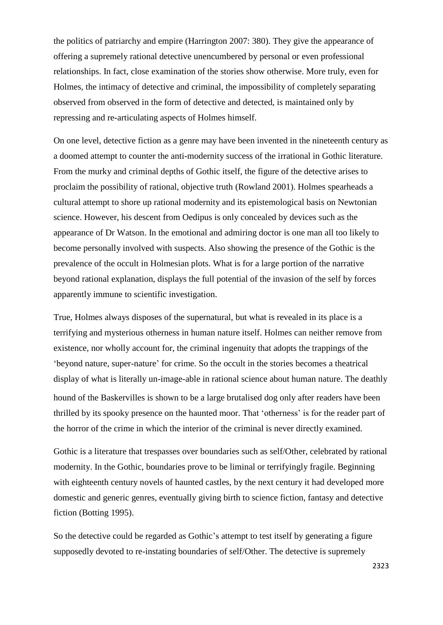the politics of patriarchy and empire (Harrington 2007: 380). They give the appearance of offering a supremely rational detective unencumbered by personal or even professional relationships. In fact, close examination of the stories show otherwise. More truly, even for Holmes, the intimacy of detective and criminal, the impossibility of completely separating observed from observed in the form of detective and detected, is maintained only by repressing and re-articulating aspects of Holmes himself.

On one level, detective fiction as a genre may have been invented in the nineteenth century as a doomed attempt to counter the anti-modernity success of the irrational in Gothic literature. From the murky and criminal depths of Gothic itself, the figure of the detective arises to proclaim the possibility of rational, objective truth (Rowland 2001). Holmes spearheads a cultural attempt to shore up rational modernity and its epistemological basis on Newtonian science. However, his descent from Oedipus is only concealed by devices such as the appearance of Dr Watson. In the emotional and admiring doctor is one man all too likely to become personally involved with suspects. Also showing the presence of the Gothic is the prevalence of the occult in Holmesian plots. What is for a large portion of the narrative beyond rational explanation, displays the full potential of the invasion of the self by forces apparently immune to scientific investigation.

True, Holmes always disposes of the supernatural, but what is revealed in its place is a terrifying and mysterious otherness in human nature itself. Holmes can neither remove from existence, nor wholly account for, the criminal ingenuity that adopts the trappings of the 'beyond nature, super-nature' for crime. So the occult in the stories becomes a theatrical display of what is literally un-image-able in rational science about human nature. The deathly hound of the Baskervilles is shown to be a large brutalised dog only after readers have been thrilled by its spooky presence on the haunted moor. That 'otherness' is for the reader part of the horror of the crime in which the interior of the criminal is never directly examined.

Gothic is a literature that trespasses over boundaries such as self/Other, celebrated by rational modernity. In the Gothic, boundaries prove to be liminal or terrifyingly fragile. Beginning with eighteenth century novels of haunted castles, by the next century it had developed more domestic and generic genres, eventually giving birth to science fiction, fantasy and detective fiction (Botting 1995).

So the detective could be regarded as Gothic's attempt to test itself by generating a figure supposedly devoted to re-instating boundaries of self/Other. The detective is supremely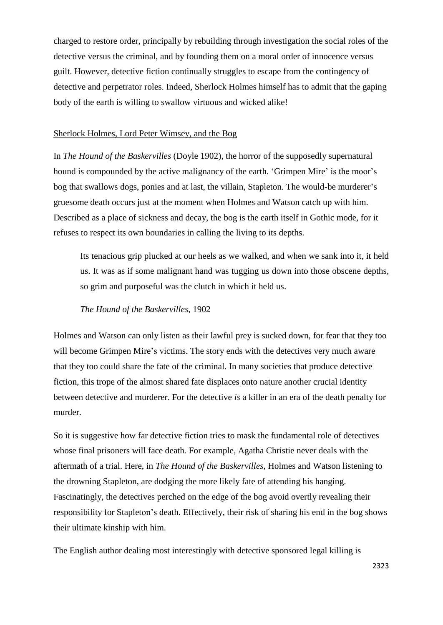charged to restore order, principally by rebuilding through investigation the social roles of the detective versus the criminal, and by founding them on a moral order of innocence versus guilt. However, detective fiction continually struggles to escape from the contingency of detective and perpetrator roles. Indeed, Sherlock Holmes himself has to admit that the gaping body of the earth is willing to swallow virtuous and wicked alike!

#### Sherlock Holmes, Lord Peter Wimsey, and the Bog

In *The Hound of the Baskervilles* (Doyle 1902), the horror of the supposedly supernatural hound is compounded by the active malignancy of the earth. 'Grimpen Mire' is the moor's bog that swallows dogs, ponies and at last, the villain, Stapleton. The would-be murderer's gruesome death occurs just at the moment when Holmes and Watson catch up with him. Described as a place of sickness and decay, the bog is the earth itself in Gothic mode, for it refuses to respect its own boundaries in calling the living to its depths.

Its tenacious grip plucked at our heels as we walked, and when we sank into it, it held us. It was as if some malignant hand was tugging us down into those obscene depths, so grim and purposeful was the clutch in which it held us.

#### *The Hound of the Baskervilles*, 1902

Holmes and Watson can only listen as their lawful prey is sucked down, for fear that they too will become Grimpen Mire's victims. The story ends with the detectives very much aware that they too could share the fate of the criminal. In many societies that produce detective fiction, this trope of the almost shared fate displaces onto nature another crucial identity between detective and murderer. For the detective *is* a killer in an era of the death penalty for murder.

So it is suggestive how far detective fiction tries to mask the fundamental role of detectives whose final prisoners will face death. For example, Agatha Christie never deals with the aftermath of a trial. Here, in *The Hound of the Baskervilles*, Holmes and Watson listening to the drowning Stapleton, are dodging the more likely fate of attending his hanging. Fascinatingly, the detectives perched on the edge of the bog avoid overtly revealing their responsibility for Stapleton's death. Effectively, their risk of sharing his end in the bog shows their ultimate kinship with him.

The English author dealing most interestingly with detective sponsored legal killing is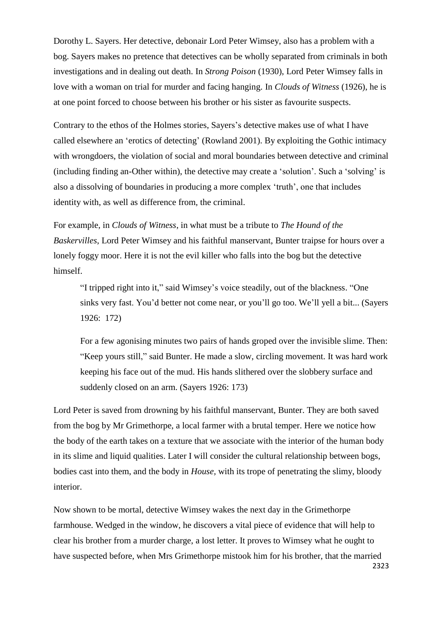Dorothy L. Sayers. Her detective, debonair Lord Peter Wimsey, also has a problem with a bog. Sayers makes no pretence that detectives can be wholly separated from criminals in both investigations and in dealing out death. In *Strong Poison* (1930), Lord Peter Wimsey falls in love with a woman on trial for murder and facing hanging. In *Clouds of Witness* (1926), he is at one point forced to choose between his brother or his sister as favourite suspects.

Contrary to the ethos of the Holmes stories, Sayers's detective makes use of what I have called elsewhere an 'erotics of detecting' (Rowland 2001). By exploiting the Gothic intimacy with wrongdoers, the violation of social and moral boundaries between detective and criminal (including finding an-Other within), the detective may create a 'solution'. Such a 'solving' is also a dissolving of boundaries in producing a more complex 'truth', one that includes identity with, as well as difference from, the criminal.

For example, in *Clouds of Witness*, in what must be a tribute to *The Hound of the Baskervilles*, Lord Peter Wimsey and his faithful manservant, Bunter traipse for hours over a lonely foggy moor. Here it is not the evil killer who falls into the bog but the detective himself.

"I tripped right into it," said Wimsey's voice steadily, out of the blackness. "One sinks very fast. You'd better not come near, or you'll go too. We'll yell a bit... (Sayers 1926: 172)

For a few agonising minutes two pairs of hands groped over the invisible slime. Then: "Keep yours still," said Bunter. He made a slow, circling movement. It was hard work keeping his face out of the mud. His hands slithered over the slobbery surface and suddenly closed on an arm. (Sayers 1926: 173)

Lord Peter is saved from drowning by his faithful manservant, Bunter. They are both saved from the bog by Mr Grimethorpe, a local farmer with a brutal temper. Here we notice how the body of the earth takes on a texture that we associate with the interior of the human body in its slime and liquid qualities. Later I will consider the cultural relationship between bogs, bodies cast into them, and the body in *House,* with its trope of penetrating the slimy, bloody interior.

Now shown to be mortal, detective Wimsey wakes the next day in the Grimethorpe farmhouse. Wedged in the window, he discovers a vital piece of evidence that will help to clear his brother from a murder charge, a lost letter. It proves to Wimsey what he ought to have suspected before, when Mrs Grimethorpe mistook him for his brother, that the married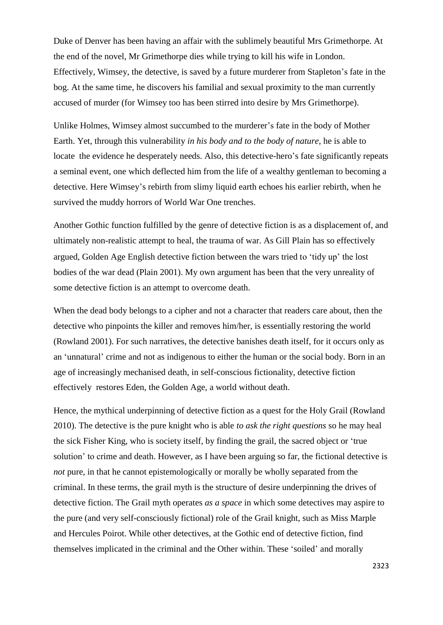Duke of Denver has been having an affair with the sublimely beautiful Mrs Grimethorpe. At the end of the novel, Mr Grimethorpe dies while trying to kill his wife in London. Effectively, Wimsey, the detective, is saved by a future murderer from Stapleton's fate in the bog. At the same time, he discovers his familial and sexual proximity to the man currently accused of murder (for Wimsey too has been stirred into desire by Mrs Grimethorpe).

Unlike Holmes, Wimsey almost succumbed to the murderer's fate in the body of Mother Earth. Yet, through this vulnerability *in his body and to the body of nature*, he is able to locate the evidence he desperately needs. Also, this detective-hero's fate significantly repeats a seminal event, one which deflected him from the life of a wealthy gentleman to becoming a detective. Here Wimsey's rebirth from slimy liquid earth echoes his earlier rebirth, when he survived the muddy horrors of World War One trenches.

Another Gothic function fulfilled by the genre of detective fiction is as a displacement of, and ultimately non-realistic attempt to heal, the trauma of war. As Gill Plain has so effectively argued, Golden Age English detective fiction between the wars tried to 'tidy up' the lost bodies of the war dead (Plain 2001). My own argument has been that the very unreality of some detective fiction is an attempt to overcome death.

When the dead body belongs to a cipher and not a character that readers care about, then the detective who pinpoints the killer and removes him/her, is essentially restoring the world (Rowland 2001). For such narratives, the detective banishes death itself, for it occurs only as an 'unnatural' crime and not as indigenous to either the human or the social body. Born in an age of increasingly mechanised death, in self-conscious fictionality, detective fiction effectively restores Eden, the Golden Age, a world without death.

Hence, the mythical underpinning of detective fiction as a quest for the Holy Grail (Rowland 2010). The detective is the pure knight who is able *to ask the right questions* so he may heal the sick Fisher King, who is society itself, by finding the grail, the sacred object or 'true solution' to crime and death. However, as I have been arguing so far, the fictional detective is *not* pure, in that he cannot epistemologically or morally be wholly separated from the criminal. In these terms, the grail myth is the structure of desire underpinning the drives of detective fiction. The Grail myth operates *as a space* in which some detectives may aspire to the pure (and very self-consciously fictional) role of the Grail knight, such as Miss Marple and Hercules Poirot. While other detectives, at the Gothic end of detective fiction, find themselves implicated in the criminal and the Other within. These 'soiled' and morally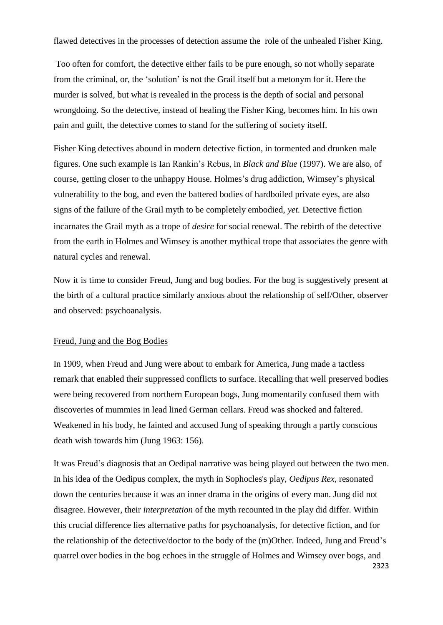flawed detectives in the processes of detection assume the role of the unhealed Fisher King.

Too often for comfort, the detective either fails to be pure enough, so not wholly separate from the criminal, or, the 'solution' is not the Grail itself but a metonym for it. Here the murder is solved, but what is revealed in the process is the depth of social and personal wrongdoing. So the detective, instead of healing the Fisher King, becomes him. In his own pain and guilt, the detective comes to stand for the suffering of society itself.

Fisher King detectives abound in modern detective fiction, in tormented and drunken male figures. One such example is Ian Rankin's Rebus, in *Black and Blue* (1997). We are also, of course, getting closer to the unhappy House. Holmes's drug addiction, Wimsey's physical vulnerability to the bog, and even the battered bodies of hardboiled private eyes, are also signs of the failure of the Grail myth to be completely embodied, *yet.* Detective fiction incarnates the Grail myth as a trope of *desire* for social renewal. The rebirth of the detective from the earth in Holmes and Wimsey is another mythical trope that associates the genre with natural cycles and renewal.

Now it is time to consider Freud, Jung and bog bodies. For the bog is suggestively present at the birth of a cultural practice similarly anxious about the relationship of self/Other, observer and observed: psychoanalysis.

# Freud, Jung and the Bog Bodies

In 1909, when Freud and Jung were about to embark for America, Jung made a tactless remark that enabled their suppressed conflicts to surface. Recalling that well preserved bodies were being recovered from northern European bogs, Jung momentarily confused them with discoveries of mummies in lead lined German cellars. Freud was shocked and faltered. Weakened in his body, he fainted and accused Jung of speaking through a partly conscious death wish towards him (Jung 1963: 156).

2323 It was Freud's diagnosis that an Oedipal narrative was being played out between the two men. In his idea of the Oedipus complex, the myth in Sophocles's play, *Oedipus Rex*, resonated down the centuries because it was an inner drama in the origins of every man. Jung did not disagree. However, their *interpretation* of the myth recounted in the play did differ. Within this crucial difference lies alternative paths for psychoanalysis, for detective fiction, and for the relationship of the detective/doctor to the body of the (m)Other. Indeed, Jung and Freud's quarrel over bodies in the bog echoes in the struggle of Holmes and Wimsey over bogs, and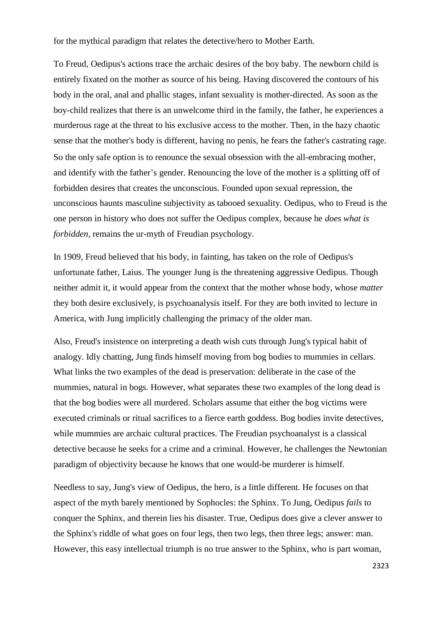for the mythical paradigm that relates the detective/hero to Mother Earth.

To Freud, Oedipus's actions trace the archaic desires of the boy baby. The newborn child is entirely fixated on the mother as source of his being. Having discovered the contours of his body in the oral, anal and phallic stages, infant sexuality is mother-directed. As soon as the boy-child realizes that there is an unwelcome third in the family, the father, he experiences a murderous rage at the threat to his exclusive access to the mother. Then, in the hazy chaotic sense that the mother's body is different, having no penis, he fears the father's castrating rage. So the only safe option is to renounce the sexual obsession with the all-embracing mother, and identify with the father's gender. Renouncing the love of the mother is a splitting off of forbidden desires that creates the unconscious. Founded upon sexual repression, the unconscious haunts masculine subjectivity as tabooed sexuality. Oedipus, who to Freud is the one person in history who does not suffer the Oedipus complex, because he *does what is forbidden,* remains the ur-myth of Freudian psychology.

In 1909, Freud believed that his body, in fainting, has taken on the role of Oedipus's unfortunate father, Laius. The younger Jung is the threatening aggressive Oedipus. Though neither admit it, it would appear from the context that the mother whose body, whose *matter*  they both desire exclusively, is psychoanalysis itself. For they are both invited to lecture in America, with Jung implicitly challenging the primacy of the older man.

Also, Freud's insistence on interpreting a death wish cuts through Jung's typical habit of analogy. Idly chatting, Jung finds himself moving from bog bodies to mummies in cellars. What links the two examples of the dead is preservation: deliberate in the case of the mummies, natural in bogs. However, what separates these two examples of the long dead is that the bog bodies were all murdered. Scholars assume that either the bog victims were executed criminals or ritual sacrifices to a fierce earth goddess. Bog bodies invite detectives, while mummies are archaic cultural practices. The Freudian psychoanalyst is a classical detective because he seeks for a crime and a criminal. However, he challenges the Newtonian paradigm of objectivity because he knows that one would-be murderer is himself.

Needless to say, Jung's view of Oedipus, the hero, is a little different. He focuses on that aspect of the myth barely mentioned by Sophocles: the Sphinx. To Jung, Oedipus *fails* to conquer the Sphinx, and therein lies his disaster. True, Oedipus does give a clever answer to the Sphinx's riddle of what goes on four legs, then two legs, then three legs; answer: man. However, this easy intellectual triumph is no true answer to the Sphinx, who is part woman,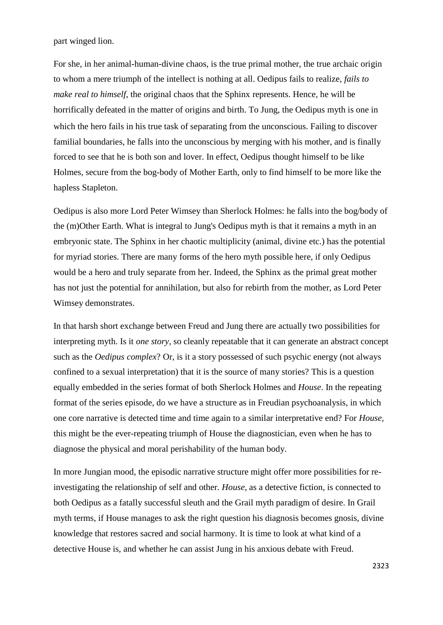part winged lion.

For she, in her animal-human-divine chaos, is the true primal mother, the true archaic origin to whom a mere triumph of the intellect is nothing at all. Oedipus fails to realize, *fails to make real to himself*, the original chaos that the Sphinx represents. Hence, he will be horrifically defeated in the matter of origins and birth. To Jung, the Oedipus myth is one in which the hero fails in his true task of separating from the unconscious. Failing to discover familial boundaries, he falls into the unconscious by merging with his mother, and is finally forced to see that he is both son and lover. In effect, Oedipus thought himself to be like Holmes, secure from the bog-body of Mother Earth, only to find himself to be more like the hapless Stapleton.

Oedipus is also more Lord Peter Wimsey than Sherlock Holmes: he falls into the bog/body of the (m)Other Earth. What is integral to Jung's Oedipus myth is that it remains a myth in an embryonic state. The Sphinx in her chaotic multiplicity (animal, divine etc.) has the potential for myriad stories. There are many forms of the hero myth possible here, if only Oedipus would be a hero and truly separate from her. Indeed, the Sphinx as the primal great mother has not just the potential for annihilation, but also for rebirth from the mother, as Lord Peter Wimsey demonstrates.

In that harsh short exchange between Freud and Jung there are actually two possibilities for interpreting myth. Is it *one story*, so cleanly repeatable that it can generate an abstract concept such as the *Oedipus complex*? Or, is it a story possessed of such psychic energy (not always confined to a sexual interpretation) that it is the source of many stories? This is a question equally embedded in the series format of both Sherlock Holmes and *House*. In the repeating format of the series episode, do we have a structure as in Freudian psychoanalysis, in which one core narrative is detected time and time again to a similar interpretative end? For *House,*  this might be the ever-repeating triumph of House the diagnostician, even when he has to diagnose the physical and moral perishability of the human body.

In more Jungian mood, the episodic narrative structure might offer more possibilities for reinvestigating the relationship of self and other. *House*, as a detective fiction, is connected to both Oedipus as a fatally successful sleuth and the Grail myth paradigm of desire. In Grail myth terms, if House manages to ask the right question his diagnosis becomes gnosis, divine knowledge that restores sacred and social harmony. It is time to look at what kind of a detective House is, and whether he can assist Jung in his anxious debate with Freud.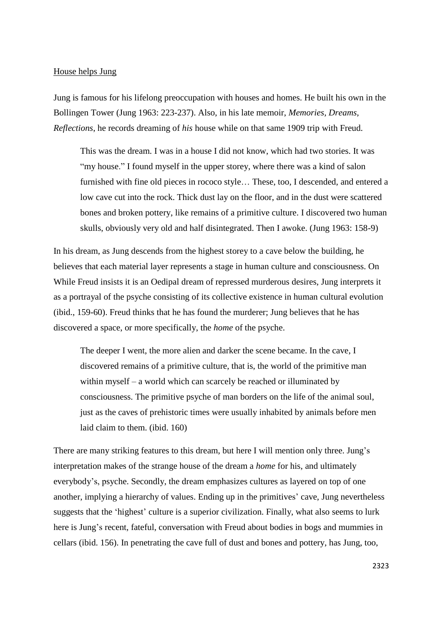#### House helps Jung

Jung is famous for his lifelong preoccupation with houses and homes. He built his own in the Bollingen Tower (Jung 1963: 223-237). Also, in his late memoir, *Memories, Dreams, Reflections*, he records dreaming of *his* house while on that same 1909 trip with Freud.

This was the dream. I was in a house I did not know, which had two stories. It was "my house." I found myself in the upper storey, where there was a kind of salon furnished with fine old pieces in rococo style… These, too, I descended, and entered a low cave cut into the rock. Thick dust lay on the floor, and in the dust were scattered bones and broken pottery, like remains of a primitive culture. I discovered two human skulls, obviously very old and half disintegrated. Then I awoke. (Jung 1963: 158-9)

In his dream, as Jung descends from the highest storey to a cave below the building, he believes that each material layer represents a stage in human culture and consciousness. On While Freud insists it is an Oedipal dream of repressed murderous desires, Jung interprets it as a portrayal of the psyche consisting of its collective existence in human cultural evolution (ibid., 159-60). Freud thinks that he has found the murderer; Jung believes that he has discovered a space, or more specifically, the *home* of the psyche.

The deeper I went, the more alien and darker the scene became. In the cave, I discovered remains of a primitive culture, that is, the world of the primitive man within myself – a world which can scarcely be reached or illuminated by consciousness. The primitive psyche of man borders on the life of the animal soul, just as the caves of prehistoric times were usually inhabited by animals before men laid claim to them. (ibid. 160)

There are many striking features to this dream, but here I will mention only three. Jung's interpretation makes of the strange house of the dream a *home* for his, and ultimately everybody's, psyche. Secondly, the dream emphasizes cultures as layered on top of one another, implying a hierarchy of values. Ending up in the primitives' cave, Jung nevertheless suggests that the 'highest' culture is a superior civilization. Finally, what also seems to lurk here is Jung's recent, fateful, conversation with Freud about bodies in bogs and mummies in cellars (ibid. 156). In penetrating the cave full of dust and bones and pottery, has Jung, too,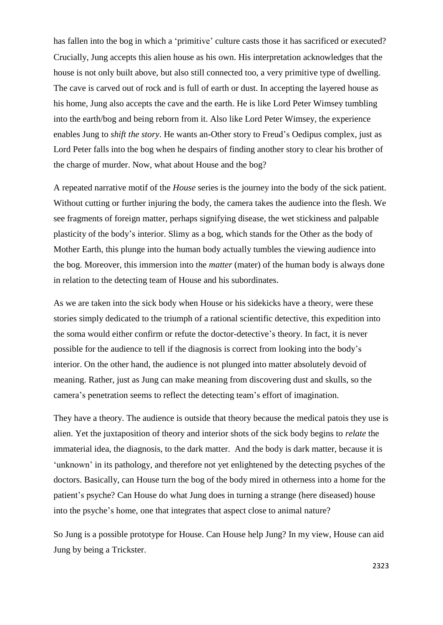has fallen into the bog in which a 'primitive' culture casts those it has sacrificed or executed? Crucially, Jung accepts this alien house as his own. His interpretation acknowledges that the house is not only built above, but also still connected too, a very primitive type of dwelling. The cave is carved out of rock and is full of earth or dust. In accepting the layered house as his home, Jung also accepts the cave and the earth. He is like Lord Peter Wimsey tumbling into the earth/bog and being reborn from it. Also like Lord Peter Wimsey, the experience enables Jung to *shift the story*. He wants an-Other story to Freud's Oedipus complex, just as Lord Peter falls into the bog when he despairs of finding another story to clear his brother of the charge of murder. Now, what about House and the bog?

A repeated narrative motif of the *House* series is the journey into the body of the sick patient. Without cutting or further injuring the body, the camera takes the audience into the flesh. We see fragments of foreign matter, perhaps signifying disease, the wet stickiness and palpable plasticity of the body's interior. Slimy as a bog, which stands for the Other as the body of Mother Earth, this plunge into the human body actually tumbles the viewing audience into the bog. Moreover, this immersion into the *matter* (mater) of the human body is always done in relation to the detecting team of House and his subordinates.

As we are taken into the sick body when House or his sidekicks have a theory, were these stories simply dedicated to the triumph of a rational scientific detective, this expedition into the soma would either confirm or refute the doctor-detective's theory. In fact, it is never possible for the audience to tell if the diagnosis is correct from looking into the body's interior. On the other hand, the audience is not plunged into matter absolutely devoid of meaning. Rather, just as Jung can make meaning from discovering dust and skulls, so the camera's penetration seems to reflect the detecting team's effort of imagination.

They have a theory. The audience is outside that theory because the medical patois they use is alien. Yet the juxtaposition of theory and interior shots of the sick body begins to *relate* the immaterial idea, the diagnosis, to the dark matter. And the body is dark matter, because it is 'unknown' in its pathology, and therefore not yet enlightened by the detecting psyches of the doctors. Basically, can House turn the bog of the body mired in otherness into a home for the patient's psyche? Can House do what Jung does in turning a strange (here diseased) house into the psyche's home, one that integrates that aspect close to animal nature?

So Jung is a possible prototype for House. Can House help Jung? In my view, House can aid Jung by being a Trickster.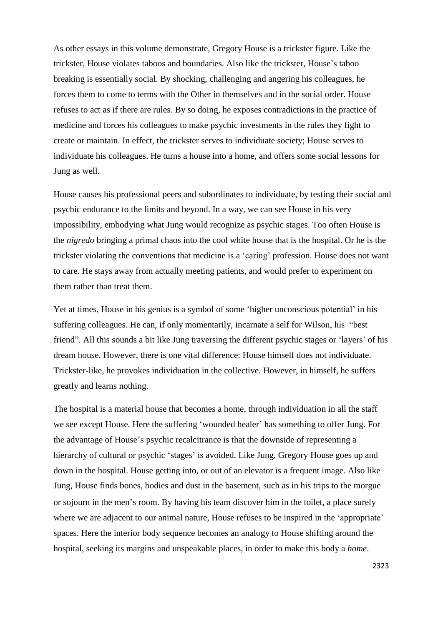As other essays in this volume demonstrate, Gregory House is a trickster figure. Like the trickster, House violates taboos and boundaries. Also like the trickster, House's taboo breaking is essentially social. By shocking, challenging and angering his colleagues, he forces them to come to terms with the Other in themselves and in the social order. House refuses to act as if there are rules. By so doing, he exposes contradictions in the practice of medicine and forces his colleagues to make psychic investments in the rules they fight to create or maintain. In effect, the trickster serves to individuate society; House serves to individuate his colleagues. He turns a house into a home, and offers some social lessons for Jung as well.

House causes his professional peers and subordinates to individuate, by testing their social and psychic endurance to the limits and beyond. In a way, we can see House in his very impossibility, embodying what Jung would recognize as psychic stages. Too often House is the *nigredo* bringing a primal chaos into the cool white house that is the hospital. Or he is the trickster violating the conventions that medicine is a 'caring' profession. House does not want to care. He stays away from actually meeting patients, and would prefer to experiment on them rather than treat them.

Yet at times, House in his genius is a symbol of some 'higher unconscious potential' in his suffering colleagues. He can, if only momentarily, incarnate a self for Wilson, his "best friend". All this sounds a bit like Jung traversing the different psychic stages or 'layers' of his dream house. However, there is one vital difference: House himself does not individuate. Trickster-like, he provokes individuation in the collective. However, in himself, he suffers greatly and learns nothing.

The hospital is a material house that becomes a home, through individuation in all the staff we see except House. Here the suffering 'wounded healer' has something to offer Jung. For the advantage of House's psychic recalcitrance is that the downside of representing a hierarchy of cultural or psychic 'stages' is avoided. Like Jung, Gregory House goes up and down in the hospital. House getting into, or out of an elevator is a frequent image. Also like Jung, House finds bones, bodies and dust in the basement, such as in his trips to the morgue or sojourn in the men's room. By having his team discover him in the toilet, a place surely where we are adjacent to our animal nature, House refuses to be inspired in the 'appropriate' spaces. Here the interior body sequence becomes an analogy to House shifting around the hospital, seeking its margins and unspeakable places, in order to make this body a *home*.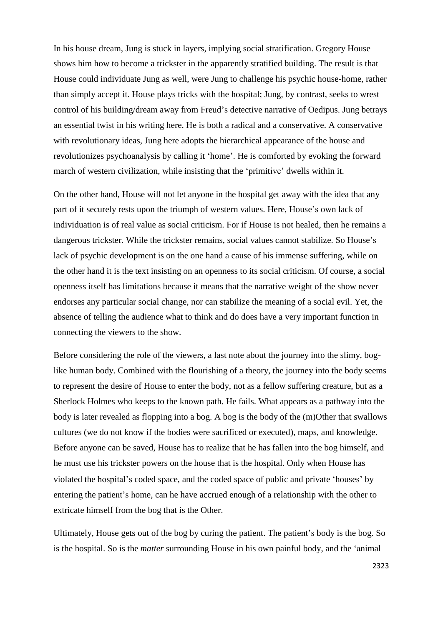In his house dream, Jung is stuck in layers, implying social stratification. Gregory House shows him how to become a trickster in the apparently stratified building. The result is that House could individuate Jung as well, were Jung to challenge his psychic house-home, rather than simply accept it. House plays tricks with the hospital; Jung, by contrast, seeks to wrest control of his building/dream away from Freud's detective narrative of Oedipus. Jung betrays an essential twist in his writing here. He is both a radical and a conservative. A conservative with revolutionary ideas, Jung here adopts the hierarchical appearance of the house and revolutionizes psychoanalysis by calling it 'home'. He is comforted by evoking the forward march of western civilization, while insisting that the 'primitive' dwells within it.

On the other hand, House will not let anyone in the hospital get away with the idea that any part of it securely rests upon the triumph of western values. Here, House's own lack of individuation is of real value as social criticism. For if House is not healed, then he remains a dangerous trickster. While the trickster remains, social values cannot stabilize. So House's lack of psychic development is on the one hand a cause of his immense suffering, while on the other hand it is the text insisting on an openness to its social criticism. Of course, a social openness itself has limitations because it means that the narrative weight of the show never endorses any particular social change, nor can stabilize the meaning of a social evil. Yet, the absence of telling the audience what to think and do does have a very important function in connecting the viewers to the show.

Before considering the role of the viewers, a last note about the journey into the slimy, boglike human body. Combined with the flourishing of a theory, the journey into the body seems to represent the desire of House to enter the body, not as a fellow suffering creature, but as a Sherlock Holmes who keeps to the known path. He fails. What appears as a pathway into the body is later revealed as flopping into a bog. A bog is the body of the (m)Other that swallows cultures (we do not know if the bodies were sacrificed or executed), maps, and knowledge. Before anyone can be saved, House has to realize that he has fallen into the bog himself, and he must use his trickster powers on the house that is the hospital. Only when House has violated the hospital's coded space, and the coded space of public and private 'houses' by entering the patient's home, can he have accrued enough of a relationship with the other to extricate himself from the bog that is the Other.

Ultimately, House gets out of the bog by curing the patient. The patient's body is the bog. So is the hospital. So is the *matter* surrounding House in his own painful body, and the 'animal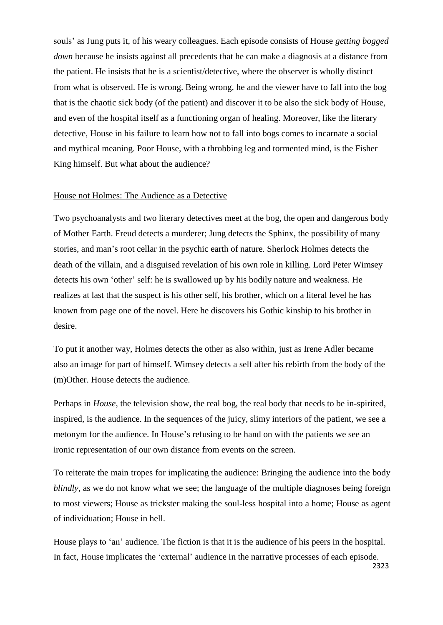souls' as Jung puts it, of his weary colleagues. Each episode consists of House *getting bogged down* because he insists against all precedents that he can make a diagnosis at a distance from the patient. He insists that he is a scientist/detective, where the observer is wholly distinct from what is observed. He is wrong. Being wrong, he and the viewer have to fall into the bog that is the chaotic sick body (of the patient) and discover it to be also the sick body of House, and even of the hospital itself as a functioning organ of healing. Moreover, like the literary detective, House in his failure to learn how not to fall into bogs comes to incarnate a social and mythical meaning. Poor House, with a throbbing leg and tormented mind, is the Fisher King himself. But what about the audience?

#### House not Holmes: The Audience as a Detective

Two psychoanalysts and two literary detectives meet at the bog, the open and dangerous body of Mother Earth. Freud detects a murderer; Jung detects the Sphinx, the possibility of many stories, and man's root cellar in the psychic earth of nature. Sherlock Holmes detects the death of the villain, and a disguised revelation of his own role in killing. Lord Peter Wimsey detects his own 'other' self: he is swallowed up by his bodily nature and weakness. He realizes at last that the suspect is his other self, his brother, which on a literal level he has known from page one of the novel. Here he discovers his Gothic kinship to his brother in desire.

To put it another way, Holmes detects the other as also within, just as Irene Adler became also an image for part of himself. Wimsey detects a self after his rebirth from the body of the (m)Other. House detects the audience.

Perhaps in *House*, the television show, the real bog, the real body that needs to be in-spirited, inspired, is the audience. In the sequences of the juicy, slimy interiors of the patient, we see a metonym for the audience. In House's refusing to be hand on with the patients we see an ironic representation of our own distance from events on the screen.

To reiterate the main tropes for implicating the audience: Bringing the audience into the body *blindly*, as we do not know what we see; the language of the multiple diagnoses being foreign to most viewers; House as trickster making the soul-less hospital into a home; House as agent of individuation; House in hell.

House plays to 'an' audience. The fiction is that it is the audience of his peers in the hospital. In fact, House implicates the 'external' audience in the narrative processes of each episode.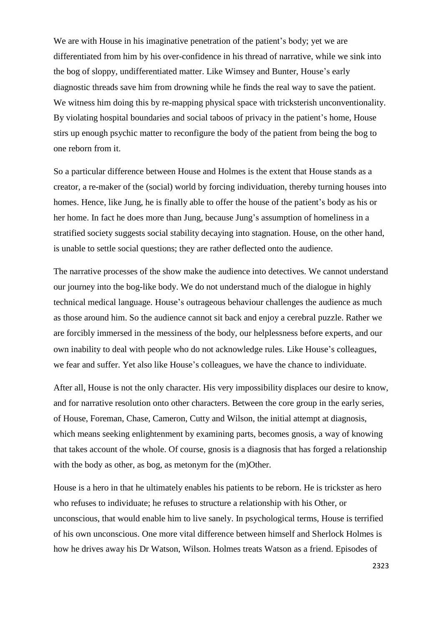We are with House in his imaginative penetration of the patient's body; yet we are differentiated from him by his over-confidence in his thread of narrative, while we sink into the bog of sloppy, undifferentiated matter. Like Wimsey and Bunter, House's early diagnostic threads save him from drowning while he finds the real way to save the patient. We witness him doing this by re-mapping physical space with tricksterish unconventionality. By violating hospital boundaries and social taboos of privacy in the patient's home, House stirs up enough psychic matter to reconfigure the body of the patient from being the bog to one reborn from it.

So a particular difference between House and Holmes is the extent that House stands as a creator, a re-maker of the (social) world by forcing individuation, thereby turning houses into homes. Hence, like Jung, he is finally able to offer the house of the patient's body as his or her home. In fact he does more than Jung, because Jung's assumption of homeliness in a stratified society suggests social stability decaying into stagnation. House, on the other hand, is unable to settle social questions; they are rather deflected onto the audience.

The narrative processes of the show make the audience into detectives. We cannot understand our journey into the bog-like body. We do not understand much of the dialogue in highly technical medical language. House's outrageous behaviour challenges the audience as much as those around him. So the audience cannot sit back and enjoy a cerebral puzzle. Rather we are forcibly immersed in the messiness of the body, our helplessness before experts, and our own inability to deal with people who do not acknowledge rules. Like House's colleagues, we fear and suffer. Yet also like House's colleagues, we have the chance to individuate.

After all, House is not the only character. His very impossibility displaces our desire to know, and for narrative resolution onto other characters. Between the core group in the early series, of House, Foreman, Chase, Cameron, Cutty and Wilson, the initial attempt at diagnosis, which means seeking enlightenment by examining parts, becomes gnosis, a way of knowing that takes account of the whole. Of course, gnosis is a diagnosis that has forged a relationship with the body as other, as bog, as metonym for the (m)Other.

House is a hero in that he ultimately enables his patients to be reborn. He is trickster as hero who refuses to individuate; he refuses to structure a relationship with his Other, or unconscious, that would enable him to live sanely. In psychological terms, House is terrified of his own unconscious. One more vital difference between himself and Sherlock Holmes is how he drives away his Dr Watson, Wilson. Holmes treats Watson as a friend. Episodes of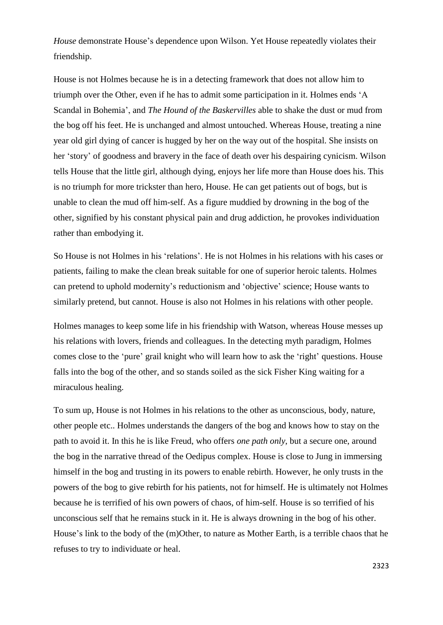*House* demonstrate House's dependence upon Wilson. Yet House repeatedly violates their friendship.

House is not Holmes because he is in a detecting framework that does not allow him to triumph over the Other, even if he has to admit some participation in it. Holmes ends 'A Scandal in Bohemia', and *The Hound of the Baskervilles* able to shake the dust or mud from the bog off his feet. He is unchanged and almost untouched. Whereas House, treating a nine year old girl dying of cancer is hugged by her on the way out of the hospital. She insists on her 'story' of goodness and bravery in the face of death over his despairing cynicism. Wilson tells House that the little girl, although dying, enjoys her life more than House does his. This is no triumph for more trickster than hero, House. He can get patients out of bogs, but is unable to clean the mud off him-self. As a figure muddied by drowning in the bog of the other, signified by his constant physical pain and drug addiction, he provokes individuation rather than embodying it.

So House is not Holmes in his 'relations'. He is not Holmes in his relations with his cases or patients, failing to make the clean break suitable for one of superior heroic talents. Holmes can pretend to uphold modernity's reductionism and 'objective' science; House wants to similarly pretend, but cannot. House is also not Holmes in his relations with other people.

Holmes manages to keep some life in his friendship with Watson, whereas House messes up his relations with lovers, friends and colleagues. In the detecting myth paradigm, Holmes comes close to the 'pure' grail knight who will learn how to ask the 'right' questions. House falls into the bog of the other, and so stands soiled as the sick Fisher King waiting for a miraculous healing.

To sum up, House is not Holmes in his relations to the other as unconscious, body, nature, other people etc.. Holmes understands the dangers of the bog and knows how to stay on the path to avoid it. In this he is like Freud, who offers *one path only*, but a secure one, around the bog in the narrative thread of the Oedipus complex. House is close to Jung in immersing himself in the bog and trusting in its powers to enable rebirth. However, he only trusts in the powers of the bog to give rebirth for his patients, not for himself. He is ultimately not Holmes because he is terrified of his own powers of chaos, of him-self. House is so terrified of his unconscious self that he remains stuck in it. He is always drowning in the bog of his other. House's link to the body of the (m)Other, to nature as Mother Earth, is a terrible chaos that he refuses to try to individuate or heal.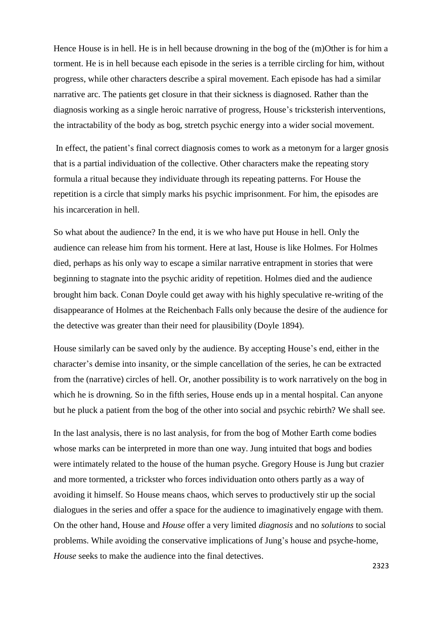Hence House is in hell. He is in hell because drowning in the bog of the  $(m)$ Other is for him a torment. He is in hell because each episode in the series is a terrible circling for him, without progress, while other characters describe a spiral movement. Each episode has had a similar narrative arc. The patients get closure in that their sickness is diagnosed. Rather than the diagnosis working as a single heroic narrative of progress, House's tricksterish interventions, the intractability of the body as bog, stretch psychic energy into a wider social movement.

In effect, the patient's final correct diagnosis comes to work as a metonym for a larger gnosis that is a partial individuation of the collective. Other characters make the repeating story formula a ritual because they individuate through its repeating patterns. For House the repetition is a circle that simply marks his psychic imprisonment. For him, the episodes are his incarceration in hell.

So what about the audience? In the end, it is we who have put House in hell. Only the audience can release him from his torment. Here at last, House is like Holmes. For Holmes died, perhaps as his only way to escape a similar narrative entrapment in stories that were beginning to stagnate into the psychic aridity of repetition. Holmes died and the audience brought him back. Conan Doyle could get away with his highly speculative re-writing of the disappearance of Holmes at the Reichenbach Falls only because the desire of the audience for the detective was greater than their need for plausibility (Doyle 1894).

House similarly can be saved only by the audience. By accepting House's end, either in the character's demise into insanity, or the simple cancellation of the series, he can be extracted from the (narrative) circles of hell. Or, another possibility is to work narratively on the bog in which he is drowning. So in the fifth series, House ends up in a mental hospital. Can anyone but he pluck a patient from the bog of the other into social and psychic rebirth? We shall see.

In the last analysis, there is no last analysis, for from the bog of Mother Earth come bodies whose marks can be interpreted in more than one way. Jung intuited that bogs and bodies were intimately related to the house of the human psyche. Gregory House is Jung but crazier and more tormented, a trickster who forces individuation onto others partly as a way of avoiding it himself. So House means chaos, which serves to productively stir up the social dialogues in the series and offer a space for the audience to imaginatively engage with them. On the other hand, House and *House* offer a very limited *diagnosis* and no *solutions* to social problems. While avoiding the conservative implications of Jung's house and psyche-home, *House* seeks to make the audience into the final detectives.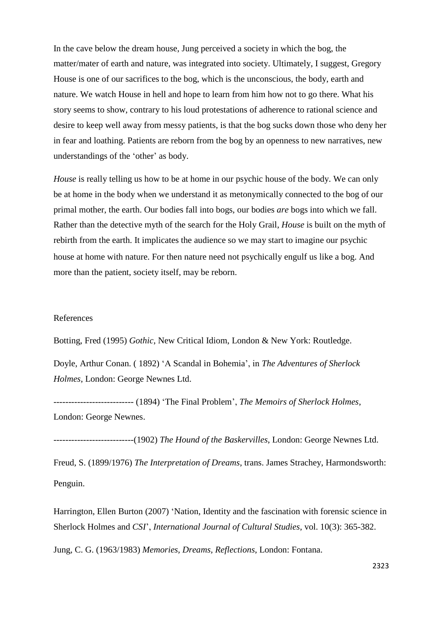In the cave below the dream house, Jung perceived a society in which the bog, the matter/mater of earth and nature, was integrated into society. Ultimately, I suggest, Gregory House is one of our sacrifices to the bog, which is the unconscious, the body, earth and nature. We watch House in hell and hope to learn from him how not to go there. What his story seems to show, contrary to his loud protestations of adherence to rational science and desire to keep well away from messy patients, is that the bog sucks down those who deny her in fear and loathing. Patients are reborn from the bog by an openness to new narratives, new understandings of the 'other' as body.

*House* is really telling us how to be at home in our psychic house of the body. We can only be at home in the body when we understand it as metonymically connected to the bog of our primal mother, the earth. Our bodies fall into bogs, our bodies *are* bogs into which we fall. Rather than the detective myth of the search for the Holy Grail, *House* is built on the myth of rebirth from the earth. It implicates the audience so we may start to imagine our psychic house at home with nature. For then nature need not psychically engulf us like a bog. And more than the patient, society itself, may be reborn.

## References

Botting, Fred (1995) *Gothic*, New Critical Idiom, London & New York: Routledge.

Doyle, Arthur Conan. ( 1892) 'A Scandal in Bohemia', in *The Adventures of Sherlock Holmes*, London: George Newnes Ltd.

--------------------------- (1894) 'The Final Problem', *The Memoirs of Sherlock Holmes*, London: George Newnes.

---------------------------(1902) *The Hound of the Baskervilles*, London: George Newnes Ltd.

Freud, S. (1899/1976) *The Interpretation of Dreams*, trans. James Strachey, Harmondsworth: Penguin.

Harrington, Ellen Burton (2007) 'Nation, Identity and the fascination with forensic science in Sherlock Holmes and *CSI*', *International Journal of Cultural Studies*, vol. 10(3): 365-382.

Jung, C. G. (1963/1983) *Memories, Dreams, Reflections*, London: Fontana.